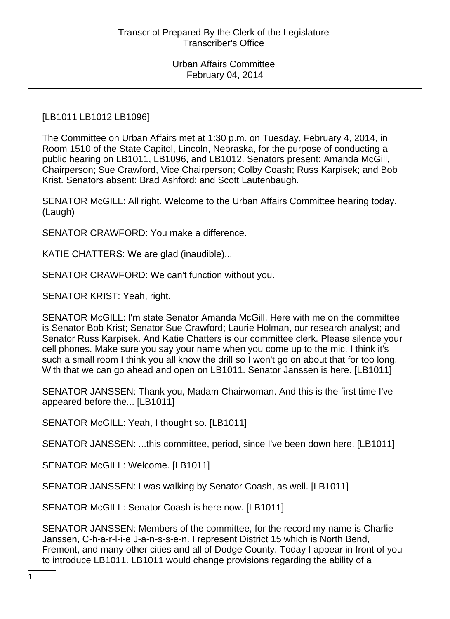### [LB1011 LB1012 LB1096]

The Committee on Urban Affairs met at 1:30 p.m. on Tuesday, February 4, 2014, in Room 1510 of the State Capitol, Lincoln, Nebraska, for the purpose of conducting a public hearing on LB1011, LB1096, and LB1012. Senators present: Amanda McGill, Chairperson; Sue Crawford, Vice Chairperson; Colby Coash; Russ Karpisek; and Bob Krist. Senators absent: Brad Ashford; and Scott Lautenbaugh.

SENATOR McGILL: All right. Welcome to the Urban Affairs Committee hearing today. (Laugh)

SENATOR CRAWFORD: You make a difference.

KATIE CHATTERS: We are glad (inaudible)...

SENATOR CRAWFORD: We can't function without you.

SENATOR KRIST: Yeah, right.

SENATOR McGILL: I'm state Senator Amanda McGill. Here with me on the committee is Senator Bob Krist; Senator Sue Crawford; Laurie Holman, our research analyst; and Senator Russ Karpisek. And Katie Chatters is our committee clerk. Please silence your cell phones. Make sure you say your name when you come up to the mic. I think it's such a small room I think you all know the drill so I won't go on about that for too long. With that we can go ahead and open on LB1011. Senator Janssen is here. [LB1011]

SENATOR JANSSEN: Thank you, Madam Chairwoman. And this is the first time I've appeared before the... [LB1011]

SENATOR McGILL: Yeah, I thought so. [LB1011]

SENATOR JANSSEN: ...this committee, period, since I've been down here. [LB1011]

SENATOR McGILL: Welcome. [LB1011]

SENATOR JANSSEN: I was walking by Senator Coash, as well. [LB1011]

SENATOR McGILL: Senator Coash is here now. [LB1011]

SENATOR JANSSEN: Members of the committee, for the record my name is Charlie Janssen, C-h-a-r-l-i-e J-a-n-s-s-e-n. I represent District 15 which is North Bend, Fremont, and many other cities and all of Dodge County. Today I appear in front of you to introduce LB1011. LB1011 would change provisions regarding the ability of a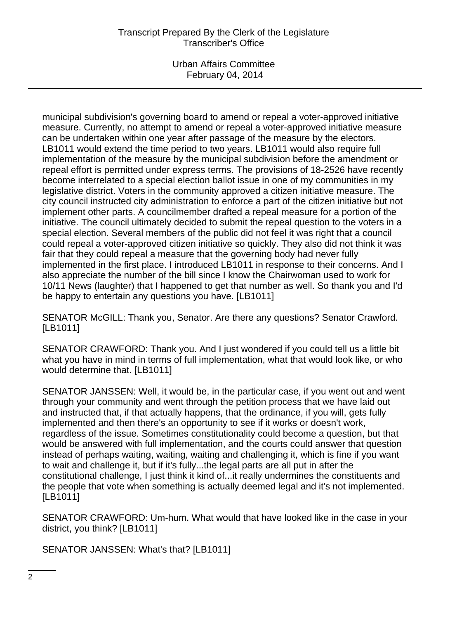## Transcript Prepared By the Clerk of the Legislature Transcriber's Office

Urban Affairs Committee February 04, 2014

municipal subdivision's governing board to amend or repeal a voter-approved initiative measure. Currently, no attempt to amend or repeal a voter-approved initiative measure can be undertaken within one year after passage of the measure by the electors. LB1011 would extend the time period to two years. LB1011 would also require full implementation of the measure by the municipal subdivision before the amendment or repeal effort is permitted under express terms. The provisions of 18-2526 have recently become interrelated to a special election ballot issue in one of my communities in my legislative district. Voters in the community approved a citizen initiative measure. The city council instructed city administration to enforce a part of the citizen initiative but not implement other parts. A councilmember drafted a repeal measure for a portion of the initiative. The council ultimately decided to submit the repeal question to the voters in a special election. Several members of the public did not feel it was right that a council could repeal a voter-approved citizen initiative so quickly. They also did not think it was fair that they could repeal a measure that the governing body had never fully implemented in the first place. I introduced LB1011 in response to their concerns. And I also appreciate the number of the bill since I know the Chairwoman used to work for 10/11 News (laughter) that I happened to get that number as well. So thank you and I'd be happy to entertain any questions you have. [LB1011]

SENATOR McGILL: Thank you, Senator. Are there any questions? Senator Crawford. [LB1011]

SENATOR CRAWFORD: Thank you. And I just wondered if you could tell us a little bit what you have in mind in terms of full implementation, what that would look like, or who would determine that. [LB1011]

SENATOR JANSSEN: Well, it would be, in the particular case, if you went out and went through your community and went through the petition process that we have laid out and instructed that, if that actually happens, that the ordinance, if you will, gets fully implemented and then there's an opportunity to see if it works or doesn't work, regardless of the issue. Sometimes constitutionality could become a question, but that would be answered with full implementation, and the courts could answer that question instead of perhaps waiting, waiting, waiting and challenging it, which is fine if you want to wait and challenge it, but if it's fully...the legal parts are all put in after the constitutional challenge, I just think it kind of...it really undermines the constituents and the people that vote when something is actually deemed legal and it's not implemented. [LB1011]

SENATOR CRAWFORD: Um-hum. What would that have looked like in the case in your district, you think? [LB1011]

SENATOR JANSSEN: What's that? [LB1011]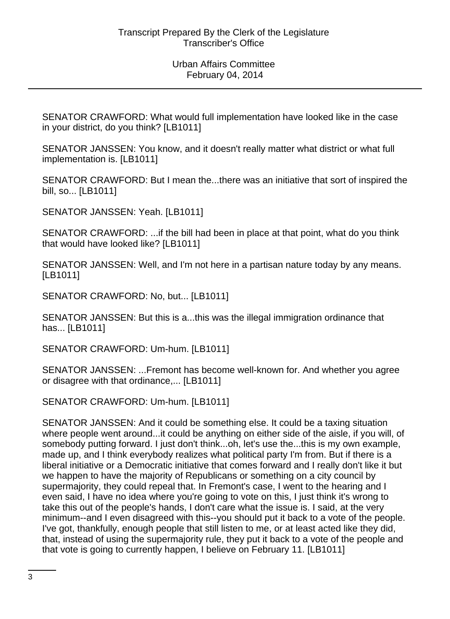SENATOR CRAWFORD: What would full implementation have looked like in the case in your district, do you think? [LB1011]

SENATOR JANSSEN: You know, and it doesn't really matter what district or what full implementation is. [LB1011]

SENATOR CRAWFORD: But I mean the...there was an initiative that sort of inspired the bill, so... [LB1011]

SENATOR JANSSEN: Yeah. [LB1011]

SENATOR CRAWFORD: ...if the bill had been in place at that point, what do you think that would have looked like? [LB1011]

SENATOR JANSSEN: Well, and I'm not here in a partisan nature today by any means. [LB1011]

SENATOR CRAWFORD: No, but... [LB1011]

SENATOR JANSSEN: But this is a...this was the illegal immigration ordinance that has... [LB1011]

SENATOR CRAWFORD: Um-hum. [LB1011]

SENATOR JANSSEN: ...Fremont has become well-known for. And whether you agree or disagree with that ordinance,... [LB1011]

SENATOR CRAWFORD: Um-hum. [LB1011]

SENATOR JANSSEN: And it could be something else. It could be a taxing situation where people went around...it could be anything on either side of the aisle, if you will, of somebody putting forward. I just don't think...oh, let's use the...this is my own example, made up, and I think everybody realizes what political party I'm from. But if there is a liberal initiative or a Democratic initiative that comes forward and I really don't like it but we happen to have the majority of Republicans or something on a city council by supermajority, they could repeal that. In Fremont's case, I went to the hearing and I even said, I have no idea where you're going to vote on this, I just think it's wrong to take this out of the people's hands, I don't care what the issue is. I said, at the very minimum--and I even disagreed with this--you should put it back to a vote of the people. I've got, thankfully, enough people that still listen to me, or at least acted like they did, that, instead of using the supermajority rule, they put it back to a vote of the people and that vote is going to currently happen, I believe on February 11. [LB1011]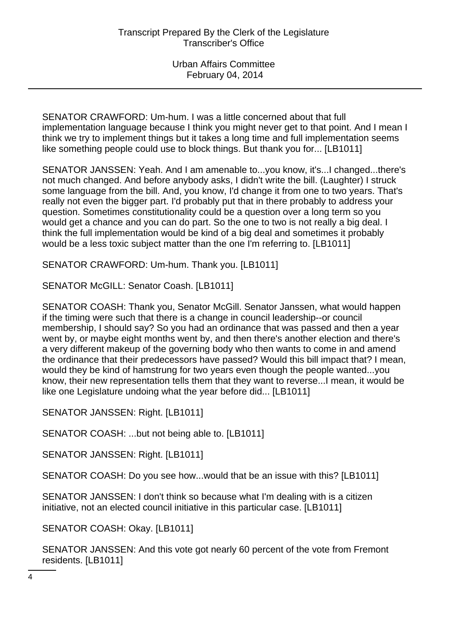SENATOR CRAWFORD: Um-hum. I was a little concerned about that full implementation language because I think you might never get to that point. And I mean I think we try to implement things but it takes a long time and full implementation seems like something people could use to block things. But thank you for... [LB1011]

SENATOR JANSSEN: Yeah. And I am amenable to...you know, it's...I changed...there's not much changed. And before anybody asks, I didn't write the bill. (Laughter) I struck some language from the bill. And, you know, I'd change it from one to two years. That's really not even the bigger part. I'd probably put that in there probably to address your question. Sometimes constitutionality could be a question over a long term so you would get a chance and you can do part. So the one to two is not really a big deal. I think the full implementation would be kind of a big deal and sometimes it probably would be a less toxic subject matter than the one I'm referring to. [LB1011]

SENATOR CRAWFORD: Um-hum. Thank you. [LB1011]

SENATOR McGILL: Senator Coash. [LB1011]

SENATOR COASH: Thank you, Senator McGill. Senator Janssen, what would happen if the timing were such that there is a change in council leadership--or council membership, I should say? So you had an ordinance that was passed and then a year went by, or maybe eight months went by, and then there's another election and there's a very different makeup of the governing body who then wants to come in and amend the ordinance that their predecessors have passed? Would this bill impact that? I mean, would they be kind of hamstrung for two years even though the people wanted...you know, their new representation tells them that they want to reverse...I mean, it would be like one Legislature undoing what the year before did... [LB1011]

SENATOR JANSSEN: Right. [LB1011]

SENATOR COASH: ...but not being able to. [LB1011]

SENATOR JANSSEN: Right. [LB1011]

SENATOR COASH: Do you see how...would that be an issue with this? [LB1011]

SENATOR JANSSEN: I don't think so because what I'm dealing with is a citizen initiative, not an elected council initiative in this particular case. [LB1011]

SENATOR COASH: Okay. [LB1011]

SENATOR JANSSEN: And this vote got nearly 60 percent of the vote from Fremont residents. [LB1011]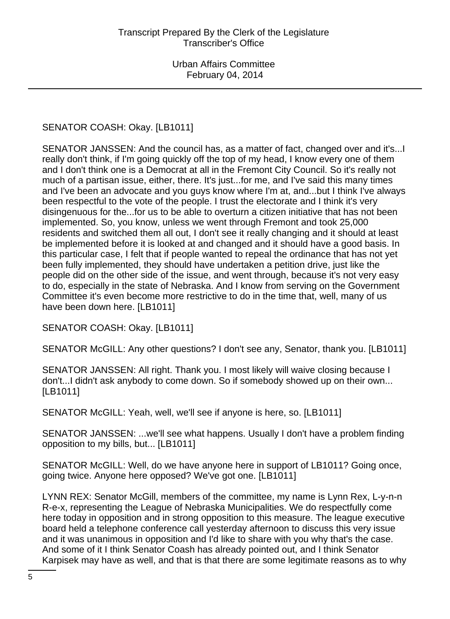# SENATOR COASH: Okay. [LB1011]

SENATOR JANSSEN: And the council has, as a matter of fact, changed over and it's...I really don't think, if I'm going quickly off the top of my head, I know every one of them and I don't think one is a Democrat at all in the Fremont City Council. So it's really not much of a partisan issue, either, there. It's just...for me, and I've said this many times and I've been an advocate and you guys know where I'm at, and...but I think I've always been respectful to the vote of the people. I trust the electorate and I think it's very disingenuous for the...for us to be able to overturn a citizen initiative that has not been implemented. So, you know, unless we went through Fremont and took 25,000 residents and switched them all out, I don't see it really changing and it should at least be implemented before it is looked at and changed and it should have a good basis. In this particular case, I felt that if people wanted to repeal the ordinance that has not yet been fully implemented, they should have undertaken a petition drive, just like the people did on the other side of the issue, and went through, because it's not very easy to do, especially in the state of Nebraska. And I know from serving on the Government Committee it's even become more restrictive to do in the time that, well, many of us have been down here. [LB1011]

SENATOR COASH: Okay. [LB1011]

SENATOR McGILL: Any other questions? I don't see any, Senator, thank you. [LB1011]

SENATOR JANSSEN: All right. Thank you. I most likely will waive closing because I don't...I didn't ask anybody to come down. So if somebody showed up on their own... [LB1011]

SENATOR McGILL: Yeah, well, we'll see if anyone is here, so. [LB1011]

SENATOR JANSSEN: ...we'll see what happens. Usually I don't have a problem finding opposition to my bills, but... [LB1011]

SENATOR McGILL: Well, do we have anyone here in support of LB1011? Going once, going twice. Anyone here opposed? We've got one. [LB1011]

LYNN REX: Senator McGill, members of the committee, my name is Lynn Rex, L-y-n-n R-e-x, representing the League of Nebraska Municipalities. We do respectfully come here today in opposition and in strong opposition to this measure. The league executive board held a telephone conference call yesterday afternoon to discuss this very issue and it was unanimous in opposition and I'd like to share with you why that's the case. And some of it I think Senator Coash has already pointed out, and I think Senator Karpisek may have as well, and that is that there are some legitimate reasons as to why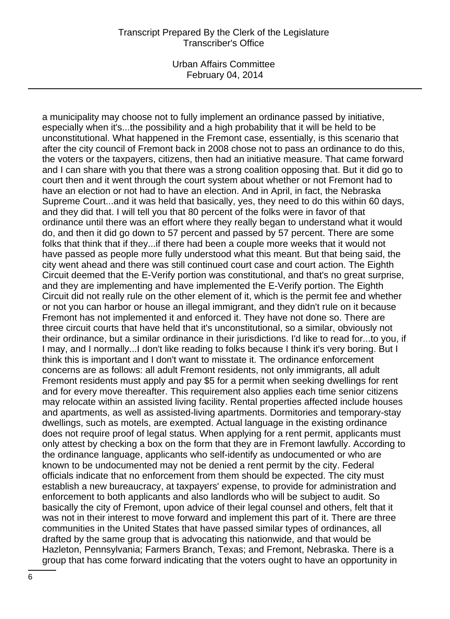#### Transcript Prepared By the Clerk of the Legislature Transcriber's Office

Urban Affairs Committee February 04, 2014

a municipality may choose not to fully implement an ordinance passed by initiative, especially when it's...the possibility and a high probability that it will be held to be unconstitutional. What happened in the Fremont case, essentially, is this scenario that after the city council of Fremont back in 2008 chose not to pass an ordinance to do this, the voters or the taxpayers, citizens, then had an initiative measure. That came forward and I can share with you that there was a strong coalition opposing that. But it did go to court then and it went through the court system about whether or not Fremont had to have an election or not had to have an election. And in April, in fact, the Nebraska Supreme Court...and it was held that basically, yes, they need to do this within 60 days, and they did that. I will tell you that 80 percent of the folks were in favor of that ordinance until there was an effort where they really began to understand what it would do, and then it did go down to 57 percent and passed by 57 percent. There are some folks that think that if they...if there had been a couple more weeks that it would not have passed as people more fully understood what this meant. But that being said, the city went ahead and there was still continued court case and court action. The Eighth Circuit deemed that the E-Verify portion was constitutional, and that's no great surprise, and they are implementing and have implemented the E-Verify portion. The Eighth Circuit did not really rule on the other element of it, which is the permit fee and whether or not you can harbor or house an illegal immigrant, and they didn't rule on it because Fremont has not implemented it and enforced it. They have not done so. There are three circuit courts that have held that it's unconstitutional, so a similar, obviously not their ordinance, but a similar ordinance in their jurisdictions. I'd like to read for...to you, if I may, and I normally...I don't like reading to folks because I think it's very boring. But I think this is important and I don't want to misstate it. The ordinance enforcement concerns are as follows: all adult Fremont residents, not only immigrants, all adult Fremont residents must apply and pay \$5 for a permit when seeking dwellings for rent and for every move thereafter. This requirement also applies each time senior citizens may relocate within an assisted living facility. Rental properties affected include houses and apartments, as well as assisted-living apartments. Dormitories and temporary-stay dwellings, such as motels, are exempted. Actual language in the existing ordinance does not require proof of legal status. When applying for a rent permit, applicants must only attest by checking a box on the form that they are in Fremont lawfully. According to the ordinance language, applicants who self-identify as undocumented or who are known to be undocumented may not be denied a rent permit by the city. Federal officials indicate that no enforcement from them should be expected. The city must establish a new bureaucracy, at taxpayers' expense, to provide for administration and enforcement to both applicants and also landlords who will be subject to audit. So basically the city of Fremont, upon advice of their legal counsel and others, felt that it was not in their interest to move forward and implement this part of it. There are three communities in the United States that have passed similar types of ordinances, all drafted by the same group that is advocating this nationwide, and that would be Hazleton, Pennsylvania; Farmers Branch, Texas; and Fremont, Nebraska. There is a group that has come forward indicating that the voters ought to have an opportunity in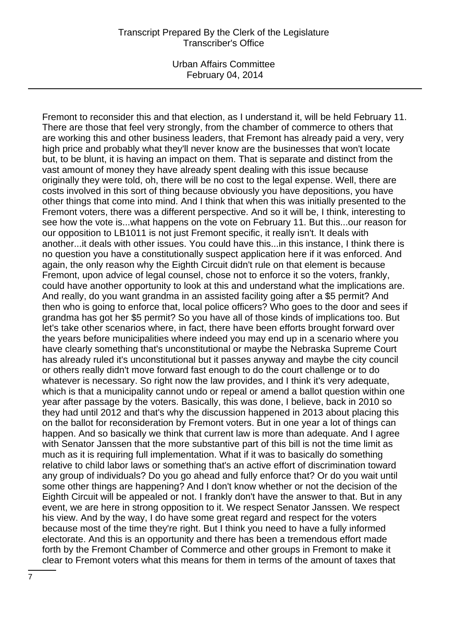Fremont to reconsider this and that election, as I understand it, will be held February 11. There are those that feel very strongly, from the chamber of commerce to others that are working this and other business leaders, that Fremont has already paid a very, very high price and probably what they'll never know are the businesses that won't locate but, to be blunt, it is having an impact on them. That is separate and distinct from the vast amount of money they have already spent dealing with this issue because originally they were told, oh, there will be no cost to the legal expense. Well, there are costs involved in this sort of thing because obviously you have depositions, you have other things that come into mind. And I think that when this was initially presented to the Fremont voters, there was a different perspective. And so it will be, I think, interesting to see how the vote is...what happens on the vote on February 11. But this...our reason for our opposition to LB1011 is not just Fremont specific, it really isn't. It deals with another...it deals with other issues. You could have this...in this instance, I think there is no question you have a constitutionally suspect application here if it was enforced. And again, the only reason why the Eighth Circuit didn't rule on that element is because Fremont, upon advice of legal counsel, chose not to enforce it so the voters, frankly, could have another opportunity to look at this and understand what the implications are. And really, do you want grandma in an assisted facility going after a \$5 permit? And then who is going to enforce that, local police officers? Who goes to the door and sees if grandma has got her \$5 permit? So you have all of those kinds of implications too. But let's take other scenarios where, in fact, there have been efforts brought forward over the years before municipalities where indeed you may end up in a scenario where you have clearly something that's unconstitutional or maybe the Nebraska Supreme Court has already ruled it's unconstitutional but it passes anyway and maybe the city council or others really didn't move forward fast enough to do the court challenge or to do whatever is necessary. So right now the law provides, and I think it's very adequate, which is that a municipality cannot undo or repeal or amend a ballot question within one year after passage by the voters. Basically, this was done, I believe, back in 2010 so they had until 2012 and that's why the discussion happened in 2013 about placing this on the ballot for reconsideration by Fremont voters. But in one year a lot of things can happen. And so basically we think that current law is more than adequate. And I agree with Senator Janssen that the more substantive part of this bill is not the time limit as much as it is requiring full implementation. What if it was to basically do something relative to child labor laws or something that's an active effort of discrimination toward any group of individuals? Do you go ahead and fully enforce that? Or do you wait until some other things are happening? And I don't know whether or not the decision of the Eighth Circuit will be appealed or not. I frankly don't have the answer to that. But in any event, we are here in strong opposition to it. We respect Senator Janssen. We respect his view. And by the way, I do have some great regard and respect for the voters because most of the time they're right. But I think you need to have a fully informed electorate. And this is an opportunity and there has been a tremendous effort made forth by the Fremont Chamber of Commerce and other groups in Fremont to make it clear to Fremont voters what this means for them in terms of the amount of taxes that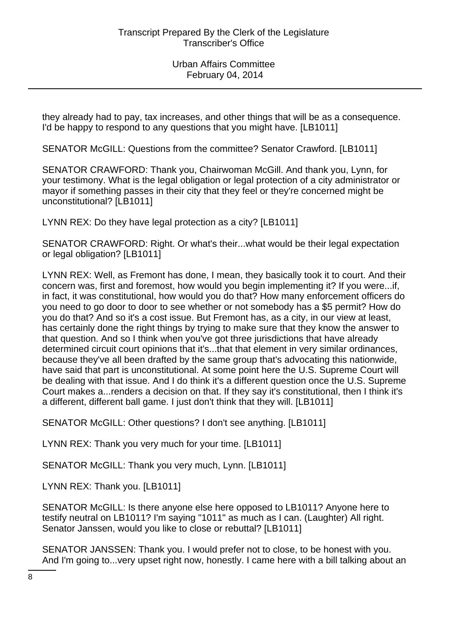they already had to pay, tax increases, and other things that will be as a consequence. I'd be happy to respond to any questions that you might have. [LB1011]

SENATOR McGILL: Questions from the committee? Senator Crawford. [LB1011]

SENATOR CRAWFORD: Thank you, Chairwoman McGill. And thank you, Lynn, for your testimony. What is the legal obligation or legal protection of a city administrator or mayor if something passes in their city that they feel or they're concerned might be unconstitutional? [LB1011]

LYNN REX: Do they have legal protection as a city? [LB1011]

SENATOR CRAWFORD: Right. Or what's their...what would be their legal expectation or legal obligation? [LB1011]

LYNN REX: Well, as Fremont has done, I mean, they basically took it to court. And their concern was, first and foremost, how would you begin implementing it? If you were...if, in fact, it was constitutional, how would you do that? How many enforcement officers do you need to go door to door to see whether or not somebody has a \$5 permit? How do you do that? And so it's a cost issue. But Fremont has, as a city, in our view at least, has certainly done the right things by trying to make sure that they know the answer to that question. And so I think when you've got three jurisdictions that have already determined circuit court opinions that it's...that that element in very similar ordinances, because they've all been drafted by the same group that's advocating this nationwide, have said that part is unconstitutional. At some point here the U.S. Supreme Court will be dealing with that issue. And I do think it's a different question once the U.S. Supreme Court makes a...renders a decision on that. If they say it's constitutional, then I think it's a different, different ball game. I just don't think that they will. [LB1011]

SENATOR McGILL: Other questions? I don't see anything. [LB1011]

LYNN REX: Thank you very much for your time. [LB1011]

SENATOR McGILL: Thank you very much, Lynn. [LB1011]

LYNN REX: Thank you. [LB1011]

SENATOR McGILL: Is there anyone else here opposed to LB1011? Anyone here to testify neutral on LB1011? I'm saying "1011" as much as I can. (Laughter) All right. Senator Janssen, would you like to close or rebuttal? [LB1011]

SENATOR JANSSEN: Thank you. I would prefer not to close, to be honest with you. And I'm going to...very upset right now, honestly. I came here with a bill talking about an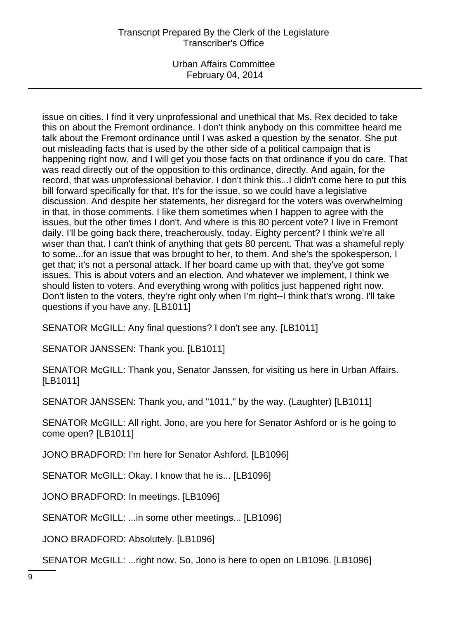## Transcript Prepared By the Clerk of the Legislature Transcriber's Office

Urban Affairs Committee February 04, 2014

issue on cities. I find it very unprofessional and unethical that Ms. Rex decided to take this on about the Fremont ordinance. I don't think anybody on this committee heard me talk about the Fremont ordinance until I was asked a question by the senator. She put out misleading facts that is used by the other side of a political campaign that is happening right now, and I will get you those facts on that ordinance if you do care. That was read directly out of the opposition to this ordinance, directly. And again, for the record, that was unprofessional behavior. I don't think this...I didn't come here to put this bill forward specifically for that. It's for the issue, so we could have a legislative discussion. And despite her statements, her disregard for the voters was overwhelming in that, in those comments. I like them sometimes when I happen to agree with the issues, but the other times I don't. And where is this 80 percent vote? I live in Fremont daily. I'll be going back there, treacherously, today. Eighty percent? I think we're all wiser than that. I can't think of anything that gets 80 percent. That was a shameful reply to some...for an issue that was brought to her, to them. And she's the spokesperson, I get that; it's not a personal attack. If her board came up with that, they've got some issues. This is about voters and an election. And whatever we implement, I think we should listen to voters. And everything wrong with politics just happened right now. Don't listen to the voters, they're right only when I'm right--I think that's wrong. I'll take questions if you have any. [LB1011]

SENATOR McGILL: Any final questions? I don't see any. [LB1011]

SENATOR JANSSEN: Thank you. [LB1011]

SENATOR McGILL: Thank you, Senator Janssen, for visiting us here in Urban Affairs. [LB1011]

SENATOR JANSSEN: Thank you, and "1011," by the way. (Laughter) [LB1011]

SENATOR McGILL: All right. Jono, are you here for Senator Ashford or is he going to come open? [LB1011]

JONO BRADFORD: I'm here for Senator Ashford. [LB1096]

SENATOR McGILL: Okay. I know that he is... [LB1096]

JONO BRADFORD: In meetings. [LB1096]

SENATOR McGILL: ...in some other meetings... [LB1096]

JONO BRADFORD: Absolutely. [LB1096]

SENATOR McGILL: ...right now. So, Jono is here to open on LB1096. [LB1096]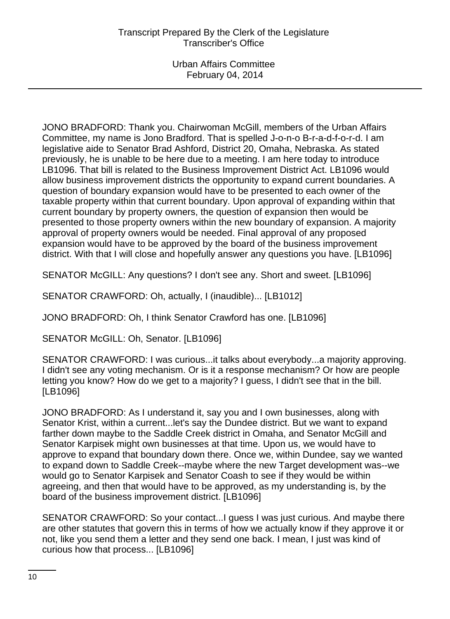JONO BRADFORD: Thank you. Chairwoman McGill, members of the Urban Affairs Committee, my name is Jono Bradford. That is spelled J-o-n-o B-r-a-d-f-o-r-d. I am legislative aide to Senator Brad Ashford, District 20, Omaha, Nebraska. As stated previously, he is unable to be here due to a meeting. I am here today to introduce LB1096. That bill is related to the Business Improvement District Act. LB1096 would allow business improvement districts the opportunity to expand current boundaries. A question of boundary expansion would have to be presented to each owner of the taxable property within that current boundary. Upon approval of expanding within that current boundary by property owners, the question of expansion then would be presented to those property owners within the new boundary of expansion. A majority approval of property owners would be needed. Final approval of any proposed expansion would have to be approved by the board of the business improvement district. With that I will close and hopefully answer any questions you have. [LB1096]

SENATOR McGILL: Any questions? I don't see any. Short and sweet. [LB1096]

SENATOR CRAWFORD: Oh, actually, I (inaudible)... [LB1012]

JONO BRADFORD: Oh, I think Senator Crawford has one. [LB1096]

SENATOR McGILL: Oh, Senator. [LB1096]

SENATOR CRAWFORD: I was curious...it talks about everybody...a majority approving. I didn't see any voting mechanism. Or is it a response mechanism? Or how are people letting you know? How do we get to a majority? I guess, I didn't see that in the bill. [LB1096]

JONO BRADFORD: As I understand it, say you and I own businesses, along with Senator Krist, within a current...let's say the Dundee district. But we want to expand farther down maybe to the Saddle Creek district in Omaha, and Senator McGill and Senator Karpisek might own businesses at that time. Upon us, we would have to approve to expand that boundary down there. Once we, within Dundee, say we wanted to expand down to Saddle Creek--maybe where the new Target development was--we would go to Senator Karpisek and Senator Coash to see if they would be within agreeing, and then that would have to be approved, as my understanding is, by the board of the business improvement district. [LB1096]

SENATOR CRAWFORD: So your contact...I guess I was just curious. And maybe there are other statutes that govern this in terms of how we actually know if they approve it or not, like you send them a letter and they send one back. I mean, I just was kind of curious how that process... [LB1096]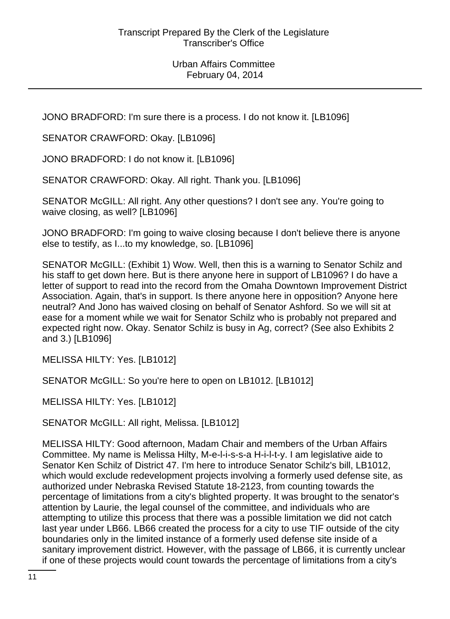JONO BRADFORD: I'm sure there is a process. I do not know it. [LB1096]

SENATOR CRAWFORD: Okay. [LB1096]

JONO BRADFORD: I do not know it. [LB1096]

SENATOR CRAWFORD: Okay. All right. Thank you. [LB1096]

SENATOR McGILL: All right. Any other questions? I don't see any. You're going to waive closing, as well? [LB1096]

JONO BRADFORD: I'm going to waive closing because I don't believe there is anyone else to testify, as I...to my knowledge, so. [LB1096]

SENATOR McGILL: (Exhibit 1) Wow. Well, then this is a warning to Senator Schilz and his staff to get down here. But is there anyone here in support of LB1096? I do have a letter of support to read into the record from the Omaha Downtown Improvement District Association. Again, that's in support. Is there anyone here in opposition? Anyone here neutral? And Jono has waived closing on behalf of Senator Ashford. So we will sit at ease for a moment while we wait for Senator Schilz who is probably not prepared and expected right now. Okay. Senator Schilz is busy in Ag, correct? (See also Exhibits 2 and 3.) [LB1096]

MELISSA HILTY: Yes. [LB1012]

SENATOR McGILL: So you're here to open on LB1012. [LB1012]

MELISSA HILTY: Yes. [LB1012]

SENATOR McGILL: All right, Melissa. [LB1012]

MELISSA HILTY: Good afternoon, Madam Chair and members of the Urban Affairs Committee. My name is Melissa Hilty, M-e-l-i-s-s-a H-i-l-t-y. I am legislative aide to Senator Ken Schilz of District 47. I'm here to introduce Senator Schilz's bill, LB1012, which would exclude redevelopment projects involving a formerly used defense site, as authorized under Nebraska Revised Statute 18-2123, from counting towards the percentage of limitations from a city's blighted property. It was brought to the senator's attention by Laurie, the legal counsel of the committee, and individuals who are attempting to utilize this process that there was a possible limitation we did not catch last year under LB66. LB66 created the process for a city to use TIF outside of the city boundaries only in the limited instance of a formerly used defense site inside of a sanitary improvement district. However, with the passage of LB66, it is currently unclear if one of these projects would count towards the percentage of limitations from a city's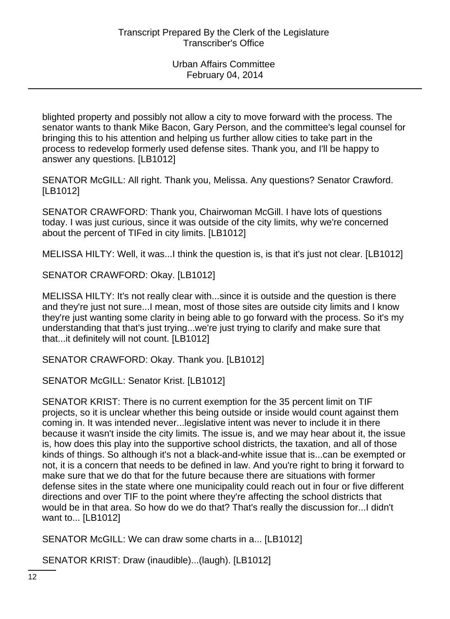blighted property and possibly not allow a city to move forward with the process. The senator wants to thank Mike Bacon, Gary Person, and the committee's legal counsel for bringing this to his attention and helping us further allow cities to take part in the process to redevelop formerly used defense sites. Thank you, and I'll be happy to answer any questions. [LB1012]

SENATOR McGILL: All right. Thank you, Melissa. Any questions? Senator Crawford. [LB1012]

SENATOR CRAWFORD: Thank you, Chairwoman McGill. I have lots of questions today. I was just curious, since it was outside of the city limits, why we're concerned about the percent of TIFed in city limits. [LB1012]

MELISSA HILTY: Well, it was...I think the question is, is that it's just not clear. [LB1012]

SENATOR CRAWFORD: Okay. [LB1012]

MELISSA HILTY: It's not really clear with...since it is outside and the question is there and they're just not sure...I mean, most of those sites are outside city limits and I know they're just wanting some clarity in being able to go forward with the process. So it's my understanding that that's just trying...we're just trying to clarify and make sure that that...it definitely will not count. [LB1012]

SENATOR CRAWFORD: Okay. Thank you. [LB1012]

SENATOR McGILL: Senator Krist. [LB1012]

SENATOR KRIST: There is no current exemption for the 35 percent limit on TIF projects, so it is unclear whether this being outside or inside would count against them coming in. It was intended never...legislative intent was never to include it in there because it wasn't inside the city limits. The issue is, and we may hear about it, the issue is, how does this play into the supportive school districts, the taxation, and all of those kinds of things. So although it's not a black-and-white issue that is...can be exempted or not, it is a concern that needs to be defined in law. And you're right to bring it forward to make sure that we do that for the future because there are situations with former defense sites in the state where one municipality could reach out in four or five different directions and over TIF to the point where they're affecting the school districts that would be in that area. So how do we do that? That's really the discussion for...I didn't want to... [LB1012]

SENATOR McGILL: We can draw some charts in a... [LB1012]

SENATOR KRIST: Draw (inaudible)...(laugh). [LB1012]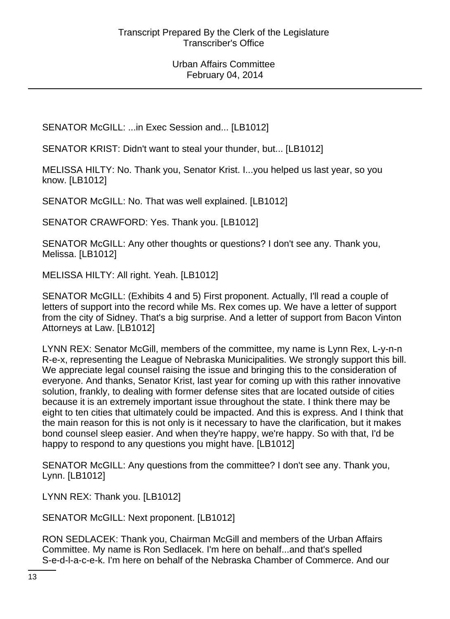SENATOR McGILL: ...in Exec Session and... [LB1012]

SENATOR KRIST: Didn't want to steal your thunder, but... [LB1012]

MELISSA HILTY: No. Thank you, Senator Krist. I...you helped us last year, so you know. [LB1012]

SENATOR McGILL: No. That was well explained. [LB1012]

SENATOR CRAWFORD: Yes. Thank you. [LB1012]

SENATOR McGILL: Any other thoughts or questions? I don't see any. Thank you, Melissa. [LB1012]

MELISSA HILTY: All right. Yeah. [LB1012]

SENATOR McGILL: (Exhibits 4 and 5) First proponent. Actually, I'll read a couple of letters of support into the record while Ms. Rex comes up. We have a letter of support from the city of Sidney. That's a big surprise. And a letter of support from Bacon Vinton Attorneys at Law. [LB1012]

LYNN REX: Senator McGill, members of the committee, my name is Lynn Rex, L-y-n-n R-e-x, representing the League of Nebraska Municipalities. We strongly support this bill. We appreciate legal counsel raising the issue and bringing this to the consideration of everyone. And thanks, Senator Krist, last year for coming up with this rather innovative solution, frankly, to dealing with former defense sites that are located outside of cities because it is an extremely important issue throughout the state. I think there may be eight to ten cities that ultimately could be impacted. And this is express. And I think that the main reason for this is not only is it necessary to have the clarification, but it makes bond counsel sleep easier. And when they're happy, we're happy. So with that, I'd be happy to respond to any questions you might have. [LB1012]

SENATOR McGILL: Any questions from the committee? I don't see any. Thank you, Lynn. [LB1012]

LYNN REX: Thank you. [LB1012]

SENATOR McGILL: Next proponent. [LB1012]

RON SEDLACEK: Thank you, Chairman McGill and members of the Urban Affairs Committee. My name is Ron Sedlacek. I'm here on behalf...and that's spelled S-e-d-l-a-c-e-k. I'm here on behalf of the Nebraska Chamber of Commerce. And our